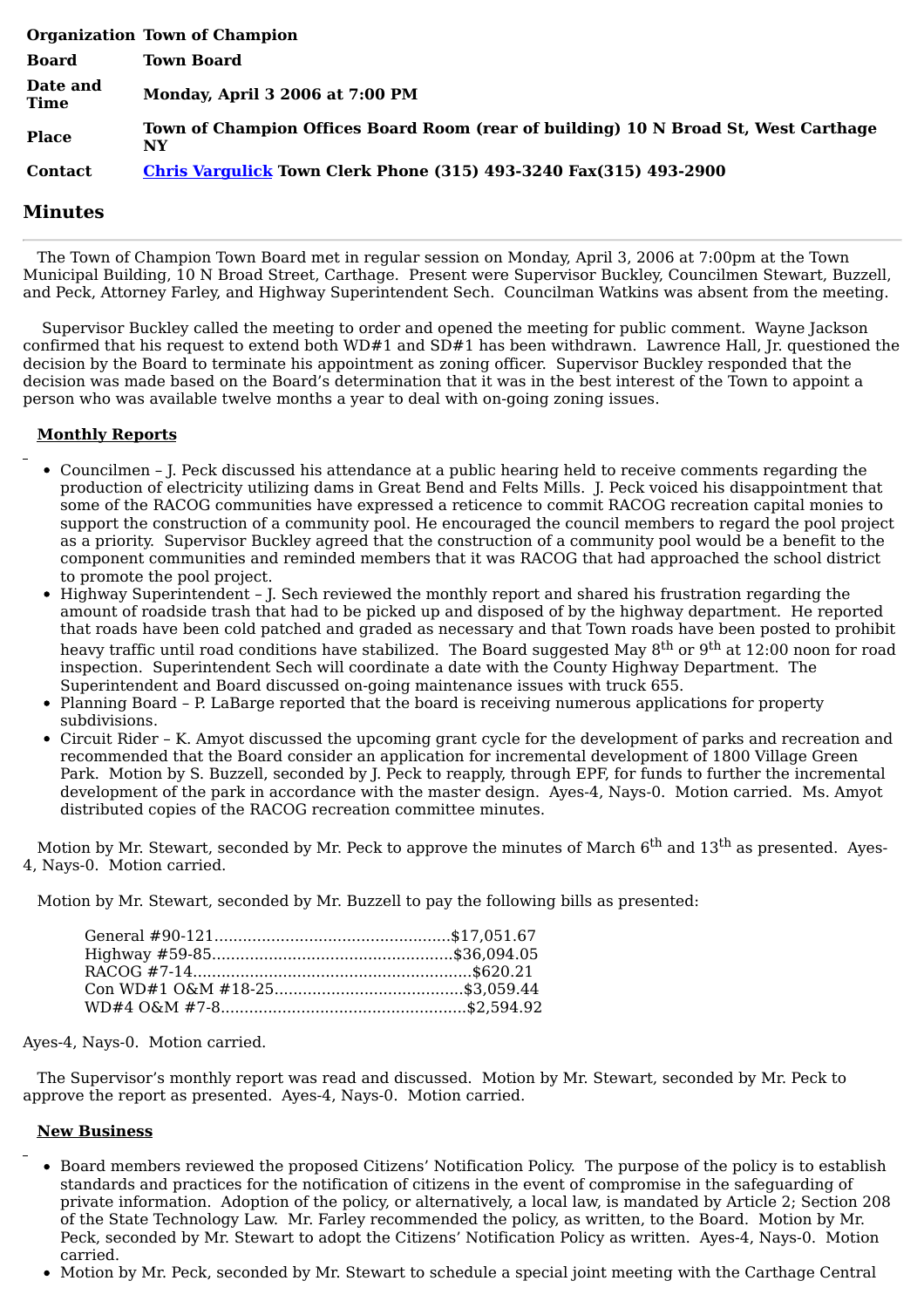|                         | <b>Organization Town of Champion</b>                                                      |
|-------------------------|-------------------------------------------------------------------------------------------|
| Board                   | <b>Town Board</b>                                                                         |
| Date and<br><b>Time</b> | Monday, April 3 2006 at 7:00 PM                                                           |
| <b>Place</b>            | Town of Champion Offices Board Room (rear of building) 10 N Broad St, West Carthage<br>NY |
| <b>Contact</b>          | <b>Chris Vargulick Town Clerk Phone (315) 493-3240 Fax(315) 493-2900</b>                  |

## **Minutes**

The Town of Champion Town Board met in regular session on Monday, April 3, 2006 at 7:00pm at the Town Municipal Building, 10 N Broad Street, Carthage. Present were Supervisor Buckley, Councilmen Stewart, Buzzell, and Peck, Attorney Farley, and Highway Superintendent Sech. Councilman Watkins was absent from the meeting.

Supervisor Buckley called the meeting to order and opened the meeting for public comment. Wayne Jackson confirmed that his request to extend both WD#1 and SD#1 has been withdrawn. Lawrence Hall, Jr. questioned the decision by the Board to terminate his appointment as zoning officer. Supervisor Buckley responded that the decision was made based on the Board's determination that it was in the best interest of the Town to appoint a person who was available twelve months a year to deal with on-going zoning issues.

## **Monthly Reports**

- Councilmen J. Peck discussed his attendance at a public hearing held to receive comments regarding the production of electricity utilizing dams in Great Bend and Felts Mills. J. Peck voiced his disappointment that some of the RACOG communities have expressed a reticence to commit RACOG recreation capital monies to support the construction of a community pool. He encouraged the council members to regard the pool project as a priority. Supervisor Buckley agreed that the construction of a community pool would be a benefit to the component communities and reminded members that it was RACOG that had approached the school district to promote the pool project.
- Highway Superintendent J. Sech reviewed the monthly report and shared his frustration regarding the amount of roadside trash that had to be picked up and disposed of by the highway department. He reported that roads have been cold patched and graded as necessary and that Town roads have been posted to prohibit heavy traffic until road conditions have stabilized. The Board suggested May 8<sup>th</sup> or 9<sup>th</sup> at 12:00 noon for road inspection. Superintendent Sech will coordinate a date with the County Highway Department. The Superintendent and Board discussed on-going maintenance issues with truck 655.
- Planning Board P. LaBarge reported that the board is receiving numerous applications for property subdivisions.
- Circuit Rider K. Amyot discussed the upcoming grant cycle for the development of parks and recreation and recommended that the Board consider an application for incremental development of 1800 Village Green Park. Motion by S. Buzzell, seconded by J. Peck to reapply, through EPF, for funds to further the incremental development of the park in accordance with the master design. Ayes-4, Nays-0. Motion carried. Ms. Amyot distributed copies of the RACOG recreation committee minutes.

Motion by Mr. Stewart, seconded by Mr. Peck to approve the minutes of March  $6^{\text{th}}$  and  $13^{\text{th}}$  as presented. Ayes-4, Nays-0. Motion carried.

Motion by Mr. Stewart, seconded by Mr. Buzzell to pay the following bills as presented:

Ayes-4, Nays-0. Motion carried.

The Supervisor's monthly report was read and discussed. Motion by Mr. Stewart, seconded by Mr. Peck to approve the report as presented. Ayes-4, Nays-0. Motion carried.

## **New Business**

- Board members reviewed the proposed Citizens' Notification Policy. The purpose of the policy is to establish standards and practices for the notification of citizens in the event of compromise in the safeguarding of private information. Adoption of the policy, or alternatively, a local law, is mandated by Article 2; Section 208 of the State Technology Law. Mr. Farley recommended the policy, as written, to the Board. Motion by Mr. Peck, seconded by Mr. Stewart to adopt the Citizens' Notification Policy as written. Ayes-4, Nays-0. Motion carried.
- Motion by Mr. Peck, seconded by Mr. Stewart to schedule a special joint meeting with the Carthage Central